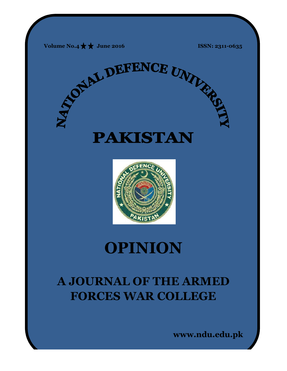



# **OPINION**

# **A JOURNAL OF THE ARMED FORCES WAR COLLEGE**

**www.ndu.edu.pk www.ndu.edu.pk**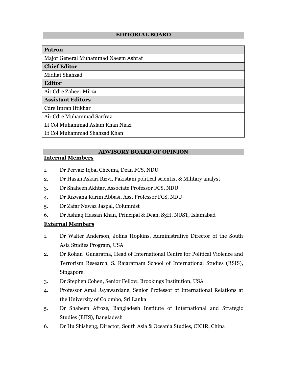### **EDITORIAL BOARD**

#### **Patron**

Major General Muhammad Naeem Ashraf

#### **Chief Editor**

Midhat Shahzad

#### **Editor**

Air Cdre Zaheer Mirza

# **Assistant Editors**

Cdre Imran Iftikhar

Air Cdre Muhammad Sarfraz

Lt Col Muhammad Aslam Khan Niazi

Lt Col Muhammad Shahzad Khan

# **ADVISORY BOARD OF OPINION**

# **Internal Members**

- 1. Dr Pervaiz Iqbal Cheema, Dean FCS, NDU
- 2. Dr Hasan Askari Rizvi, Pakistani political scientist & Military analyst
- 3. Dr Shaheen Akhtar, Associate Professor FCS, NDU
- 4. Dr Rizwana Karim Abbasi, Asst Professor FCS, NDU
- 5. Dr Zafar Nawaz Jaspal, Columnist
- 6. Dr Ashfaq Hassan Khan, Principal & Dean, S3H, NUST, Islamabad

### **External Members**

- 1. Dr Walter Anderson, Johns Hopkins, Administrative Director of the South Asia Studies Program, USA
- 2. Dr Rohan Gunaratna, Head of International Centre for Political Violence and Terrorism Research, S. Rajaratnam School of International Studies (RSIS), Singapore
- 3. Dr Stephen Cohen, Senior Fellow, Brookings Institution, USA
- 4. Professor Amal Jayawardane, Senior Professor of International Relations at the University of Colombo, Sri Lanka
- 5. Dr Shaheen Afroze, Bangladesh Institute of International and Strategic Studies (BIIS), Bangladesh
- 6. Dr Hu Shisheng, Director, South Asia & Oceania Studies, CICIR, China